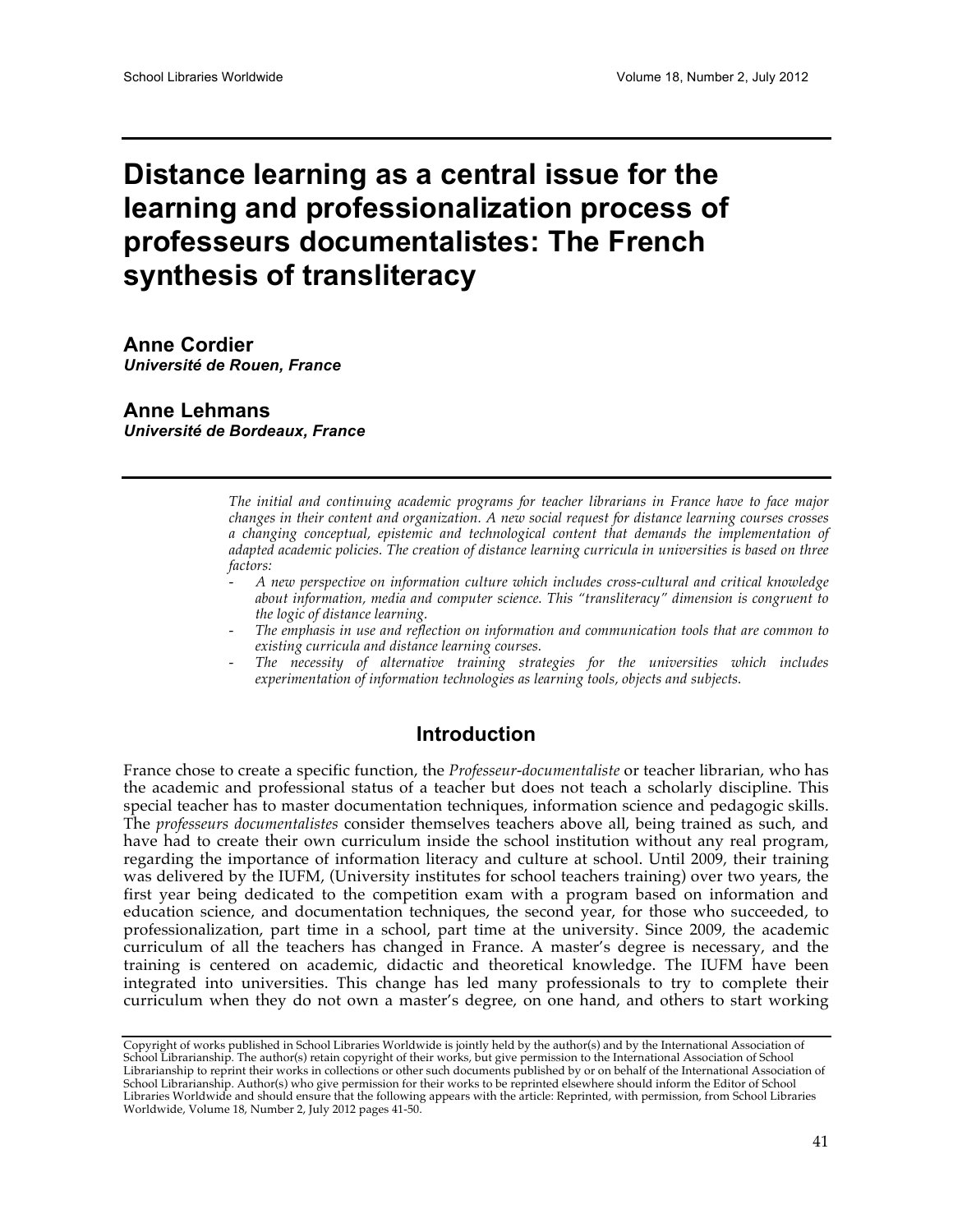# **Distance learning as a central issue for the learning and professionalization process of professeurs documentalistes: The French synthesis of transliteracy**

**Anne Cordier** *Université de Rouen, France*

**Anne Lehmans** *Université de Bordeaux, France*

> *The initial and continuing academic programs for teacher librarians in France have to face major changes in their content and organization. A new social request for distance learning courses crosses a changing conceptual, epistemic and technological content that demands the implementation of adapted academic policies. The creation of distance learning curricula in universities is based on three factors:*

- *A new perspective on information culture which includes cross-cultural and critical knowledge about information, media and computer science. This "transliteracy" dimension is congruent to the logic of distance learning.*
- *The emphasis in use and reflection on information and communication tools that are common to existing curricula and distance learning courses.*
- *The necessity of alternative training strategies for the universities which includes experimentation of information technologies as learning tools, objects and subjects.*

## **Introduction**

France chose to create a specific function, the *Professeur-documentaliste* or teacher librarian, who has the academic and professional status of a teacher but does not teach a scholarly discipline. This special teacher has to master documentation techniques, information science and pedagogic skills. The *professeurs documentalistes* consider themselves teachers above all, being trained as such, and have had to create their own curriculum inside the school institution without any real program, regarding the importance of information literacy and culture at school. Until 2009, their training was delivered by the IUFM, (University institutes for school teachers training) over two years, the first year being dedicated to the competition exam with a program based on information and education science, and documentation techniques, the second year, for those who succeeded, to professionalization, part time in a school, part time at the university. Since 2009, the academic curriculum of all the teachers has changed in France. A master's degree is necessary, and the training is centered on academic, didactic and theoretical knowledge. The IUFM have been integrated into universities. This change has led many professionals to try to complete their curriculum when they do not own a master's degree, on one hand, and others to start working

Copyright of works published in School Libraries Worldwide is jointly held by the author(s) and by the International Association of School Librarianship. The author(s) retain copyright of their works, but give permission to the International Association of School Librarianship to reprint their works in collections or other such documents published by or on behalf of the International Association of School Librarianship. Author(s) who give permission for their works to be reprinted elsewhere should inform the Editor of School Libraries Worldwide and should ensure that the following appears with the article: Reprinted, with permission, from School Libraries Worldwide, Volume 18, Number 2, July 2012 pages 41-50.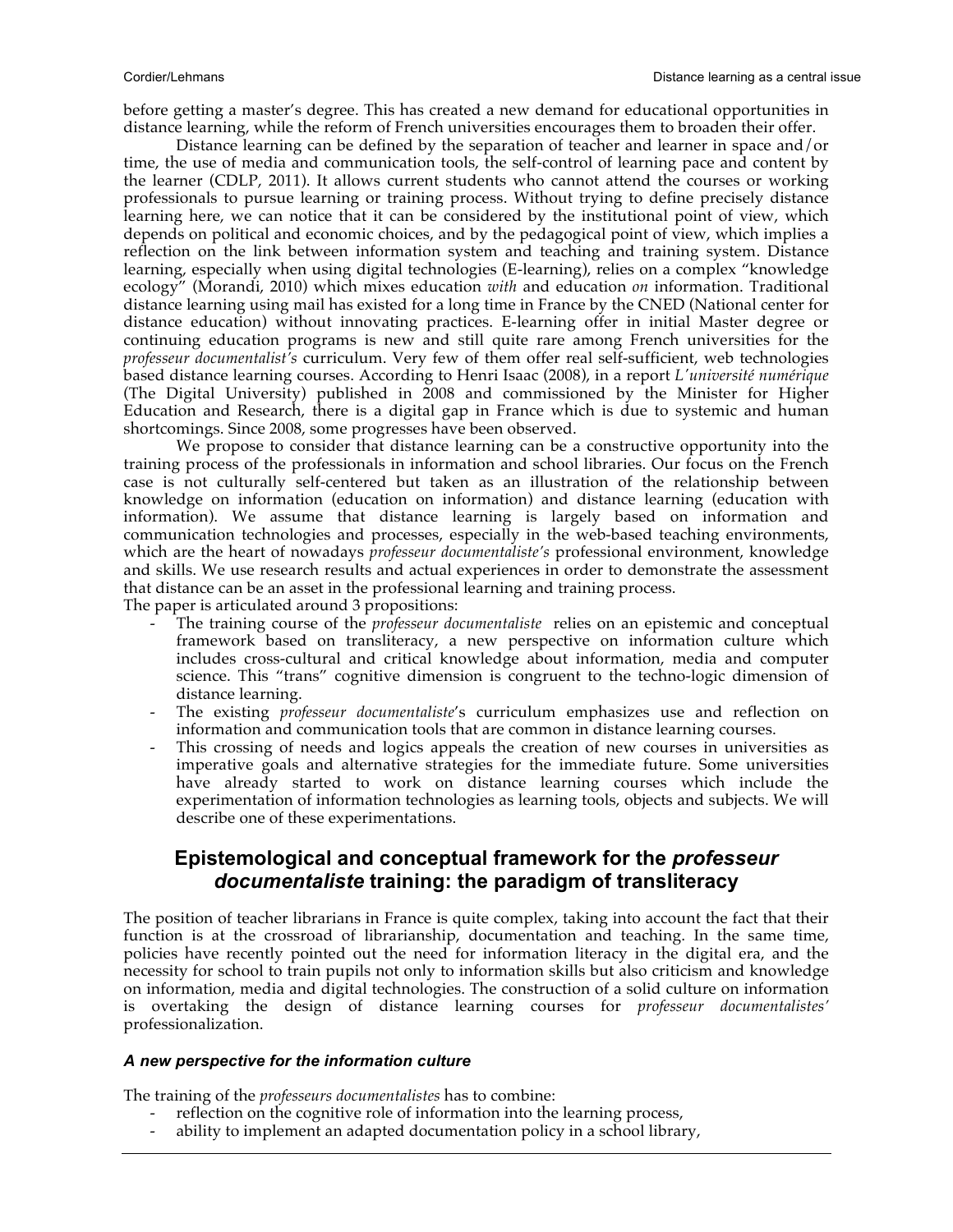before getting a master's degree. This has created a new demand for educational opportunities in distance learning, while the reform of French universities encourages them to broaden their offer.

Distance learning can be defined by the separation of teacher and learner in space and/or time, the use of media and communication tools, the self-control of learning pace and content by the learner (CDLP, 2011). It allows current students who cannot attend the courses or working professionals to pursue learning or training process. Without trying to define precisely distance learning here, we can notice that it can be considered by the institutional point of view, which depends on political and economic choices, and by the pedagogical point of view, which implies a reflection on the link between information system and teaching and training system. Distance learning, especially when using digital technologies (E-learning), relies on a complex "knowledge ecology" (Morandi, 2010) which mixes education *with* and education *on* information. Traditional distance learning using mail has existed for a long time in France by the CNED (National center for distance education) without innovating practices. E-learning offer in initial Master degree or continuing education programs is new and still quite rare among French universities for the *professeur documentalist's* curriculum. Very few of them offer real self-sufficient, web technologies based distance learning courses. According to Henri Isaac (2008), in a report *L'université numérique*  (The Digital University) published in 2008 and commissioned by the Minister for Higher Education and Research, there is a digital gap in France which is due to systemic and human shortcomings. Since 2008, some progresses have been observed.

We propose to consider that distance learning can be a constructive opportunity into the training process of the professionals in information and school libraries. Our focus on the French case is not culturally self-centered but taken as an illustration of the relationship between knowledge on information (education on information) and distance learning (education with information). We assume that distance learning is largely based on information and communication technologies and processes, especially in the web-based teaching environments, which are the heart of nowadays *professeur documentaliste's* professional environment, knowledge and skills. We use research results and actual experiences in order to demonstrate the assessment that distance can be an asset in the professional learning and training process. The paper is articulated around 3 propositions:

- The training course of the *professeur documentaliste* relies on an epistemic and conceptual framework based on transliteracy, a new perspective on information culture which includes cross-cultural and critical knowledge about information, media and computer science. This "trans" cognitive dimension is congruent to the techno-logic dimension of distance learning.
- The existing *professeur documentaliste's* curriculum emphasizes use and reflection on information and communication tools that are common in distance learning courses.
- This crossing of needs and logics appeals the creation of new courses in universities as imperative goals and alternative strategies for the immediate future. Some universities have already started to work on distance learning courses which include the experimentation of information technologies as learning tools, objects and subjects. We will describe one of these experimentations.

## **Epistemological and conceptual framework for the** *professeur documentaliste* **training: the paradigm of transliteracy**

The position of teacher librarians in France is quite complex, taking into account the fact that their function is at the crossroad of librarianship, documentation and teaching. In the same time, policies have recently pointed out the need for information literacy in the digital era, and the necessity for school to train pupils not only to information skills but also criticism and knowledge on information, media and digital technologies. The construction of a solid culture on information is overtaking the design of distance learning courses for *professeur documentalistes'* professionalization.

#### *A new perspective for the information culture*

The training of the *professeurs documentalistes* has to combine:

- reflection on the cognitive role of information into the learning process,
- ability to implement an adapted documentation policy in a school library,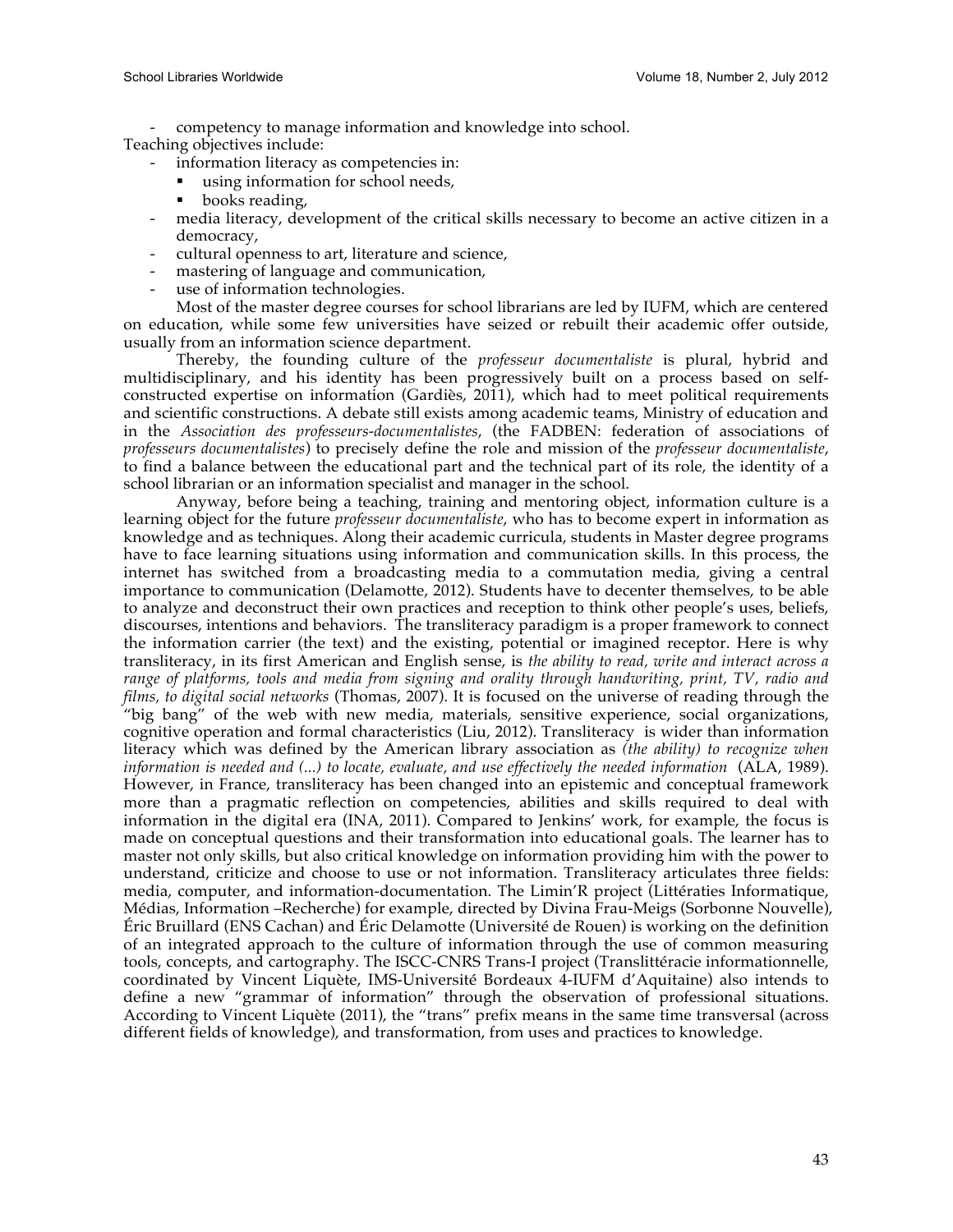- competency to manage information and knowledge into school.

Teaching objectives include:

- information literacy as competencies in:
- using information for school needs,
- books reading,
- media literacy, development of the critical skills necessary to become an active citizen in a democracy,
- cultural openness to art, literature and science,
- mastering of language and communication,
- use of information technologies.

Most of the master degree courses for school librarians are led by IUFM, which are centered on education, while some few universities have seized or rebuilt their academic offer outside, usually from an information science department.

Thereby, the founding culture of the *professeur documentaliste* is plural, hybrid and multidisciplinary, and his identity has been progressively built on a process based on selfconstructed expertise on information (Gardiès, 2011), which had to meet political requirements and scientific constructions. A debate still exists among academic teams, Ministry of education and in the *Association des professeurs-documentalistes*, (the FADBEN: federation of associations of *professeurs documentalistes*) to precisely define the role and mission of the *professeur documentaliste*, to find a balance between the educational part and the technical part of its role, the identity of a school librarian or an information specialist and manager in the school.

Anyway, before being a teaching, training and mentoring object, information culture is a learning object for the future *professeur documentaliste*, who has to become expert in information as knowledge and as techniques. Along their academic curricula, students in Master degree programs have to face learning situations using information and communication skills. In this process, the internet has switched from a broadcasting media to a commutation media, giving a central importance to communication (Delamotte, 2012). Students have to decenter themselves, to be able to analyze and deconstruct their own practices and reception to think other people's uses, beliefs, discourses, intentions and behaviors. The transliteracy paradigm is a proper framework to connect the information carrier (the text) and the existing, potential or imagined receptor. Here is why transliteracy, in its first American and English sense, is *the ability to read, write and interact across a range of platforms, tools and media from signing and orality through handwriting, print, TV, radio and films, to digital social networks* (Thomas, 2007). It is focused on the universe of reading through the "big bang" of the web with new media, materials, sensitive experience, social organizations, cognitive operation and formal characteristics (Liu, 2012). Transliteracy is wider than information literacy which was defined by the American library association as *(the ability) to recognize when information is needed and (...) to locate, evaluate, and use effectively the needed information* (ALA, 1989). However, in France, transliteracy has been changed into an epistemic and conceptual framework more than a pragmatic reflection on competencies, abilities and skills required to deal with information in the digital era (INA, 2011). Compared to Jenkins' work, for example, the focus is made on conceptual questions and their transformation into educational goals. The learner has to master not only skills, but also critical knowledge on information providing him with the power to understand, criticize and choose to use or not information. Transliteracy articulates three fields: media, computer, and information-documentation. The Limin'R project (Littératies Informatique, Médias, Information –Recherche) for example, directed by Divina Frau-Meigs (Sorbonne Nouvelle), Éric Bruillard (ENS Cachan) and Éric Delamotte (Université de Rouen) is working on the definition of an integrated approach to the culture of information through the use of common measuring tools, concepts, and cartography. The ISCC-CNRS Trans-I project (Translittéracie informationnelle, coordinated by Vincent Liquète, IMS-Université Bordeaux 4-IUFM d'Aquitaine) also intends to define a new "grammar of information" through the observation of professional situations. According to Vincent Liquète (2011), the "trans" prefix means in the same time transversal (across different fields of knowledge), and transformation, from uses and practices to knowledge.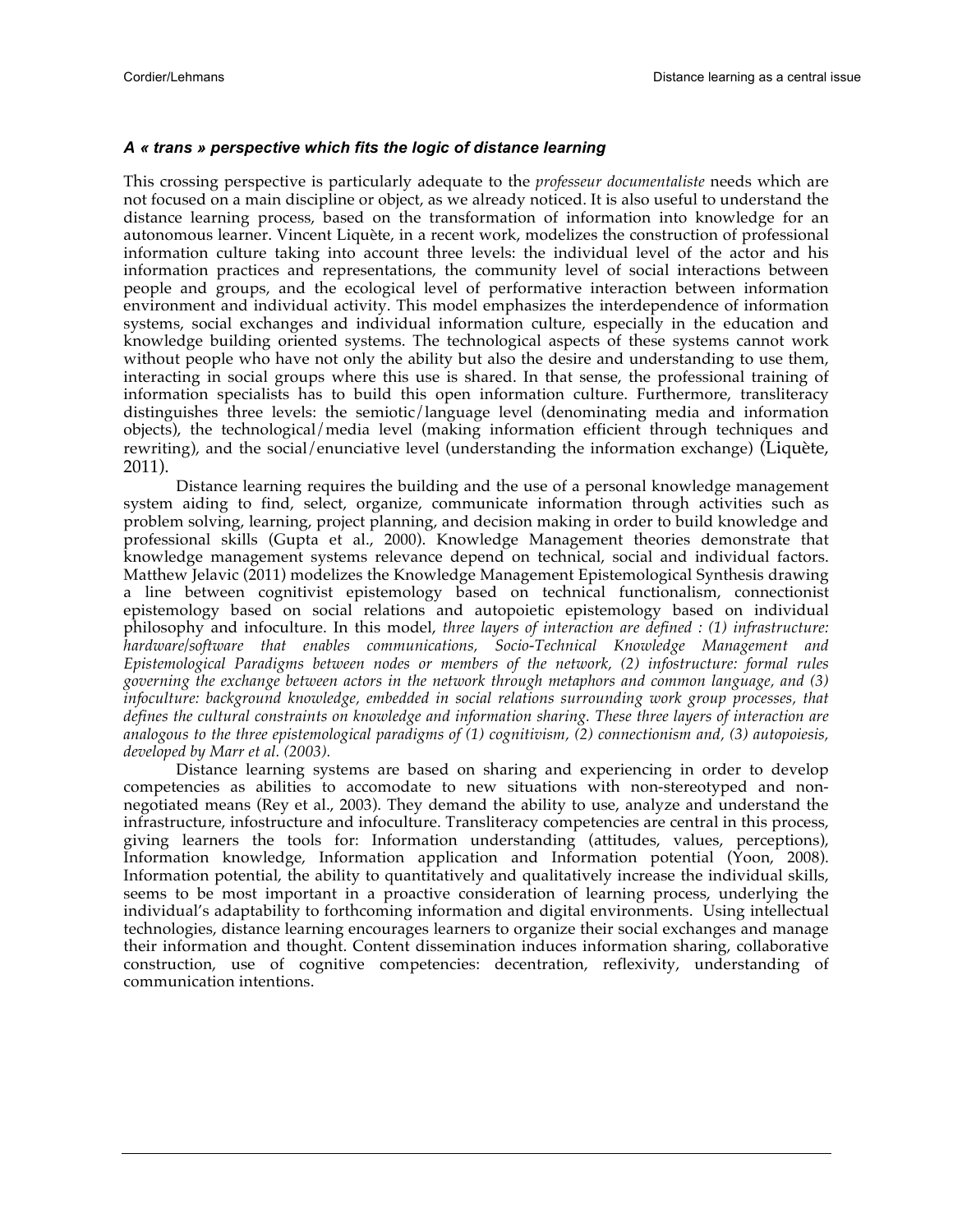#### *A « trans » perspective which fits the logic of distance learning*

This crossing perspective is particularly adequate to the *professeur documentaliste* needs which are not focused on a main discipline or object, as we already noticed. It is also useful to understand the distance learning process, based on the transformation of information into knowledge for an autonomous learner. Vincent Liquète, in a recent work, modelizes the construction of professional information culture taking into account three levels: the individual level of the actor and his information practices and representations, the community level of social interactions between people and groups, and the ecological level of performative interaction between information environment and individual activity. This model emphasizes the interdependence of information systems, social exchanges and individual information culture, especially in the education and knowledge building oriented systems. The technological aspects of these systems cannot work without people who have not only the ability but also the desire and understanding to use them, interacting in social groups where this use is shared. In that sense, the professional training of information specialists has to build this open information culture. Furthermore, transliteracy distinguishes three levels: the semiotic/language level (denominating media and information objects), the technological/media level (making information efficient through techniques and rewriting), and the social/enunciative level (understanding the information exchange) (Liquète, 2011).

Distance learning requires the building and the use of a personal knowledge management system aiding to find, select, organize, communicate information through activities such as problem solving, learning, project planning, and decision making in order to build knowledge and professional skills (Gupta et al., 2000). Knowledge Management theories demonstrate that knowledge management systems relevance depend on technical, social and individual factors. Matthew Jelavic (2011) modelizes the Knowledge Management Epistemological Synthesis drawing a line between cognitivist epistemology based on technical functionalism, connectionist epistemology based on social relations and autopoietic epistemology based on individual philosophy and infoculture. In this model, *three layers of interaction are defined : (1) infrastructure: hardware/software that enables communications, Socio-Technical Knowledge Management and Epistemological Paradigms between nodes or members of the network, (2) infostructure: formal rules governing the exchange between actors in the network through metaphors and common language, and (3) infoculture: background knowledge, embedded in social relations surrounding work group processes, that defines the cultural constraints on knowledge and information sharing. These three layers of interaction are analogous to the three epistemological paradigms of (1) cognitivism, (2) connectionism and, (3) autopoiesis, developed by Marr et al. (2003).*

Distance learning systems are based on sharing and experiencing in order to develop competencies as abilities to accomodate to new situations with non-stereotyped and nonnegotiated means (Rey et al., 2003). They demand the ability to use, analyze and understand the infrastructure, infostructure and infoculture. Transliteracy competencies are central in this process, giving learners the tools for: Information understanding (attitudes, values, perceptions), Information knowledge, Information application and Information potential (Yoon, 2008). Information potential, the ability to quantitatively and qualitatively increase the individual skills, seems to be most important in a proactive consideration of learning process, underlying the individual's adaptability to forthcoming information and digital environments. Using intellectual technologies, distance learning encourages learners to organize their social exchanges and manage their information and thought. Content dissemination induces information sharing, collaborative construction, use of cognitive competencies: decentration, reflexivity, understanding of communication intentions.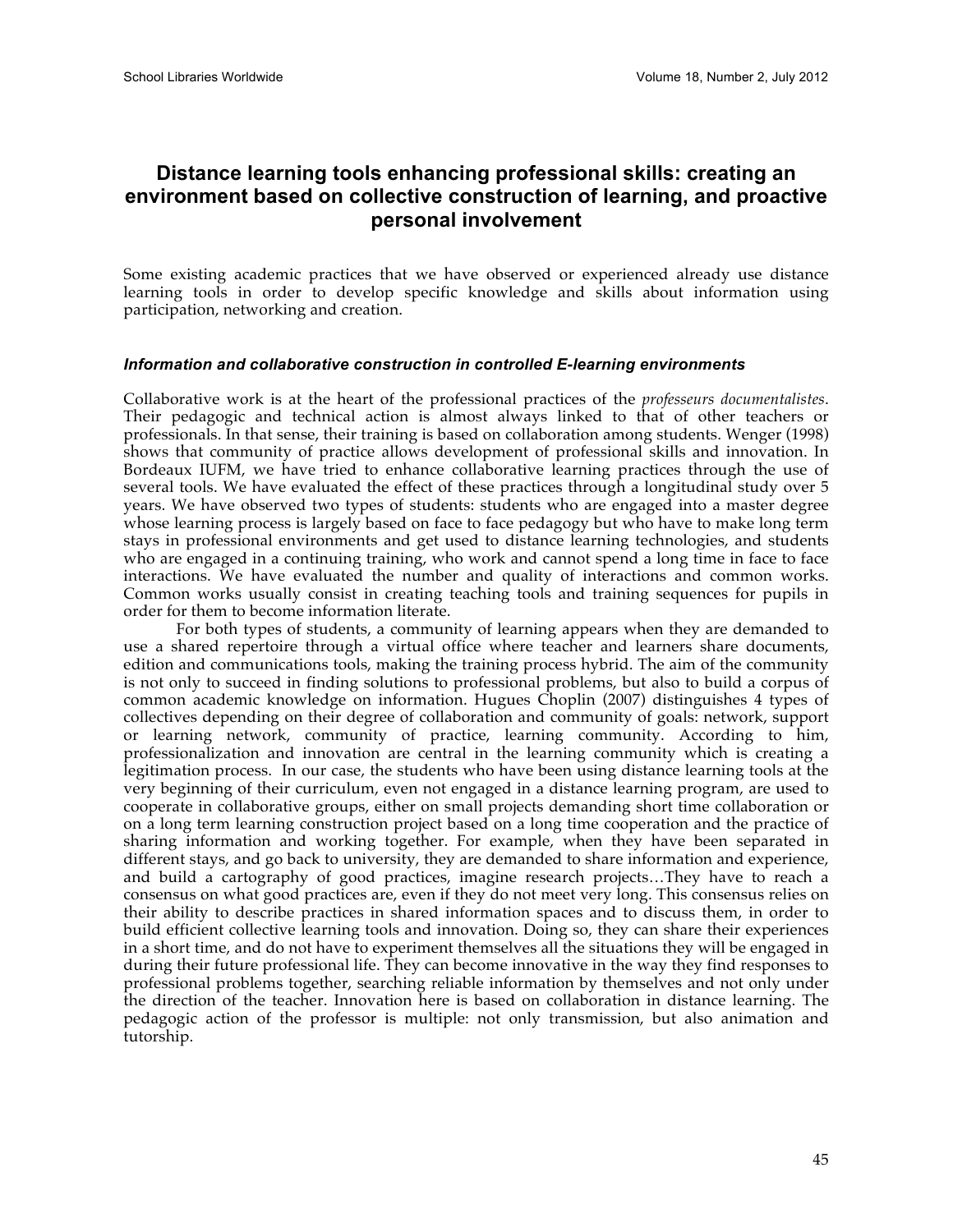# **Distance learning tools enhancing professional skills: creating an environment based on collective construction of learning, and proactive personal involvement**

Some existing academic practices that we have observed or experienced already use distance learning tools in order to develop specific knowledge and skills about information using participation, networking and creation.

#### *Information and collaborative construction in controlled E-learning environments*

Collaborative work is at the heart of the professional practices of the *professeurs documentalistes*. Their pedagogic and technical action is almost always linked to that of other teachers or professionals. In that sense, their training is based on collaboration among students. Wenger (1998) shows that community of practice allows development of professional skills and innovation. In Bordeaux IUFM, we have tried to enhance collaborative learning practices through the use of several tools. We have evaluated the effect of these practices through a longitudinal study over 5 years. We have observed two types of students: students who are engaged into a master degree whose learning process is largely based on face to face pedagogy but who have to make long term stays in professional environments and get used to distance learning technologies, and students who are engaged in a continuing training, who work and cannot spend a long time in face to face interactions. We have evaluated the number and quality of interactions and common works. Common works usually consist in creating teaching tools and training sequences for pupils in order for them to become information literate.

For both types of students, a community of learning appears when they are demanded to use a shared repertoire through a virtual office where teacher and learners share documents, edition and communications tools, making the training process hybrid. The aim of the community is not only to succeed in finding solutions to professional problems, but also to build a corpus of common academic knowledge on information. Hugues Choplin (2007) distinguishes 4 types of collectives depending on their degree of collaboration and community of goals: network, support or learning network, community of practice, learning community. According to him, professionalization and innovation are central in the learning community which is creating a legitimation process. In our case, the students who have been using distance learning tools at the very beginning of their curriculum, even not engaged in a distance learning program, are used to cooperate in collaborative groups, either on small projects demanding short time collaboration or on a long term learning construction project based on a long time cooperation and the practice of sharing information and working together. For example, when they have been separated in different stays, and go back to university, they are demanded to share information and experience, and build a cartography of good practices, imagine research projects…They have to reach a consensus on what good practices are, even if they do not meet very long. This consensus relies on their ability to describe practices in shared information spaces and to discuss them, in order to build efficient collective learning tools and innovation. Doing so, they can share their experiences in a short time, and do not have to experiment themselves all the situations they will be engaged in during their future professional life. They can become innovative in the way they find responses to professional problems together, searching reliable information by themselves and not only under the direction of the teacher. Innovation here is based on collaboration in distance learning. The pedagogic action of the professor is multiple: not only transmission, but also animation and tutorship.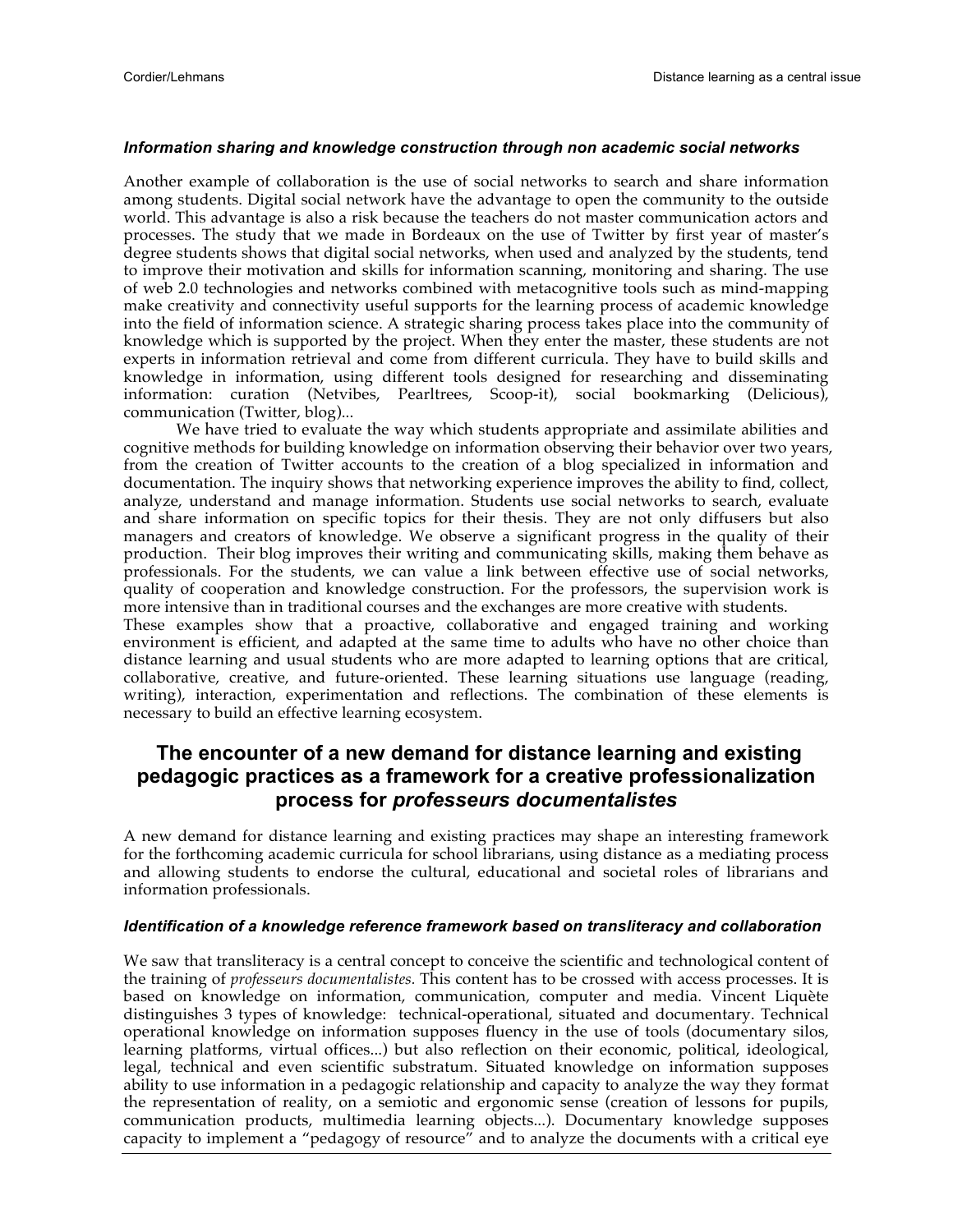#### *Information sharing and knowledge construction through non academic social networks*

Another example of collaboration is the use of social networks to search and share information among students. Digital social network have the advantage to open the community to the outside world. This advantage is also a risk because the teachers do not master communication actors and processes. The study that we made in Bordeaux on the use of Twitter by first year of master's degree students shows that digital social networks, when used and analyzed by the students, tend to improve their motivation and skills for information scanning, monitoring and sharing. The use of web 2.0 technologies and networks combined with metacognitive tools such as mind-mapping make creativity and connectivity useful supports for the learning process of academic knowledge into the field of information science. A strategic sharing process takes place into the community of knowledge which is supported by the project. When they enter the master, these students are not experts in information retrieval and come from different curricula. They have to build skills and knowledge in information, using different tools designed for researching and disseminating information: curation (Netvibes, Pearltrees, Scoop-it), social bookmarking (Delicious), communication (Twitter, blog)...

We have tried to evaluate the way which students appropriate and assimilate abilities and cognitive methods for building knowledge on information observing their behavior over two years, from the creation of Twitter accounts to the creation of a blog specialized in information and documentation. The inquiry shows that networking experience improves the ability to find, collect, analyze, understand and manage information. Students use social networks to search, evaluate and share information on specific topics for their thesis. They are not only diffusers but also managers and creators of knowledge. We observe a significant progress in the quality of their production. Their blog improves their writing and communicating skills, making them behave as professionals. For the students, we can value a link between effective use of social networks, quality of cooperation and knowledge construction. For the professors, the supervision work is more intensive than in traditional courses and the exchanges are more creative with students.

These examples show that a proactive, collaborative and engaged training and working environment is efficient, and adapted at the same time to adults who have no other choice than distance learning and usual students who are more adapted to learning options that are critical, collaborative, creative, and future-oriented. These learning situations use language (reading, writing), interaction, experimentation and reflections. The combination of these elements is necessary to build an effective learning ecosystem.

## **The encounter of a new demand for distance learning and existing pedagogic practices as a framework for a creative professionalization process for** *professeurs documentalistes*

A new demand for distance learning and existing practices may shape an interesting framework for the forthcoming academic curricula for school librarians, using distance as a mediating process and allowing students to endorse the cultural, educational and societal roles of librarians and information professionals.

#### *Identification of a knowledge reference framework based on transliteracy and collaboration*

We saw that transliteracy is a central concept to conceive the scientific and technological content of the training of *professeurs documentalistes.* This content has to be crossed with access processes. It is based on knowledge on information, communication, computer and media. Vincent Liquète distinguishes 3 types of knowledge: technical-operational, situated and documentary. Technical operational knowledge on information supposes fluency in the use of tools (documentary silos, learning platforms, virtual offices...) but also reflection on their economic, political, ideological, legal, technical and even scientific substratum. Situated knowledge on information supposes ability to use information in a pedagogic relationship and capacity to analyze the way they format the representation of reality, on a semiotic and ergonomic sense (creation of lessons for pupils, communication products, multimedia learning objects...). Documentary knowledge supposes capacity to implement a "pedagogy of resource" and to analyze the documents with a critical eye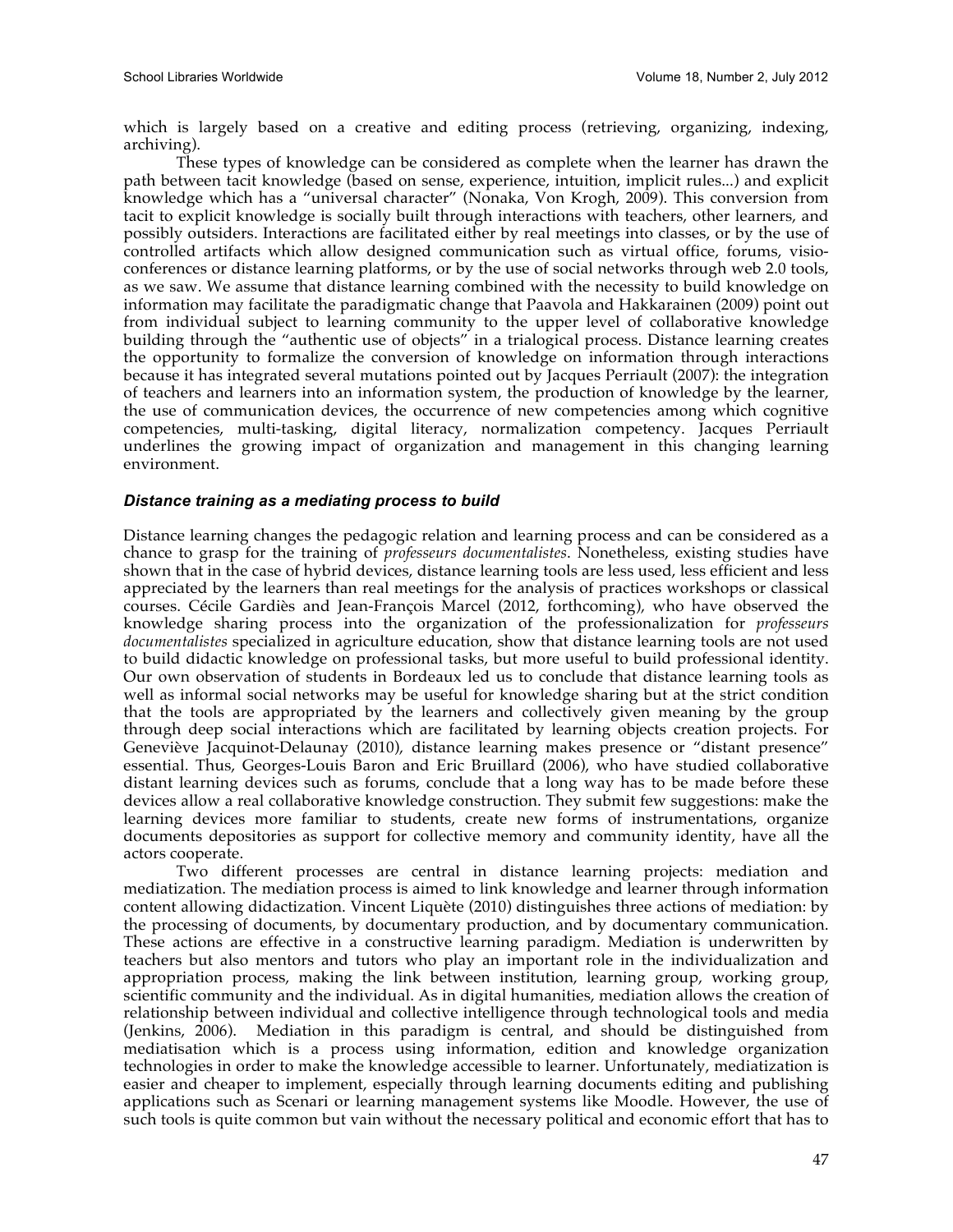which is largely based on a creative and editing process (retrieving, organizing, indexing, archiving).

These types of knowledge can be considered as complete when the learner has drawn the path between tacit knowledge (based on sense, experience, intuition, implicit rules...) and explicit knowledge which has a "universal character" (Nonaka, Von Krogh, 2009). This conversion from tacit to explicit knowledge is socially built through interactions with teachers, other learners, and possibly outsiders. Interactions are facilitated either by real meetings into classes, or by the use of controlled artifacts which allow designed communication such as virtual office, forums, visioconferences or distance learning platforms, or by the use of social networks through web 2.0 tools, as we saw. We assume that distance learning combined with the necessity to build knowledge on information may facilitate the paradigmatic change that Paavola and Hakkarainen (2009) point out from individual subject to learning community to the upper level of collaborative knowledge building through the "authentic use of objects" in a trialogical process. Distance learning creates the opportunity to formalize the conversion of knowledge on information through interactions because it has integrated several mutations pointed out by Jacques Perriault (2007): the integration of teachers and learners into an information system, the production of knowledge by the learner, the use of communication devices, the occurrence of new competencies among which cognitive competencies, multi-tasking, digital literacy, normalization competency. Jacques Perriault underlines the growing impact of organization and management in this changing learning environment.

#### *Distance training as a mediating process to build*

Distance learning changes the pedagogic relation and learning process and can be considered as a chance to grasp for the training of *professeurs documentalistes*. Nonetheless, existing studies have shown that in the case of hybrid devices, distance learning tools are less used, less efficient and less appreciated by the learners than real meetings for the analysis of practices workshops or classical courses. Cécile Gardiès and Jean-François Marcel (2012, forthcoming), who have observed the knowledge sharing process into the organization of the professionalization for *professeurs documentalistes* specialized in agriculture education, show that distance learning tools are not used to build didactic knowledge on professional tasks, but more useful to build professional identity. Our own observation of students in Bordeaux led us to conclude that distance learning tools as well as informal social networks may be useful for knowledge sharing but at the strict condition that the tools are appropriated by the learners and collectively given meaning by the group through deep social interactions which are facilitated by learning objects creation projects. For Geneviève Jacquinot-Delaunay (2010), distance learning makes presence or "distant presence" essential. Thus, Georges-Louis Baron and Eric Bruillard (2006), who have studied collaborative distant learning devices such as forums, conclude that a long way has to be made before these devices allow a real collaborative knowledge construction. They submit few suggestions: make the learning devices more familiar to students, create new forms of instrumentations, organize documents depositories as support for collective memory and community identity, have all the actors cooperate.

Two different processes are central in distance learning projects: mediation and mediatization. The mediation process is aimed to link knowledge and learner through information content allowing didactization. Vincent Liquète (2010) distinguishes three actions of mediation: by the processing of documents, by documentary production, and by documentary communication. These actions are effective in a constructive learning paradigm. Mediation is underwritten by teachers but also mentors and tutors who play an important role in the individualization and appropriation process, making the link between institution, learning group, working group, scientific community and the individual. As in digital humanities, mediation allows the creation of relationship between individual and collective intelligence through technological tools and media (Jenkins, 2006). Mediation in this paradigm is central, and should be distinguished from mediatisation which is a process using information, edition and knowledge organization technologies in order to make the knowledge accessible to learner. Unfortunately, mediatization is easier and cheaper to implement, especially through learning documents editing and publishing applications such as Scenari or learning management systems like Moodle. However, the use of such tools is quite common but vain without the necessary political and economic effort that has to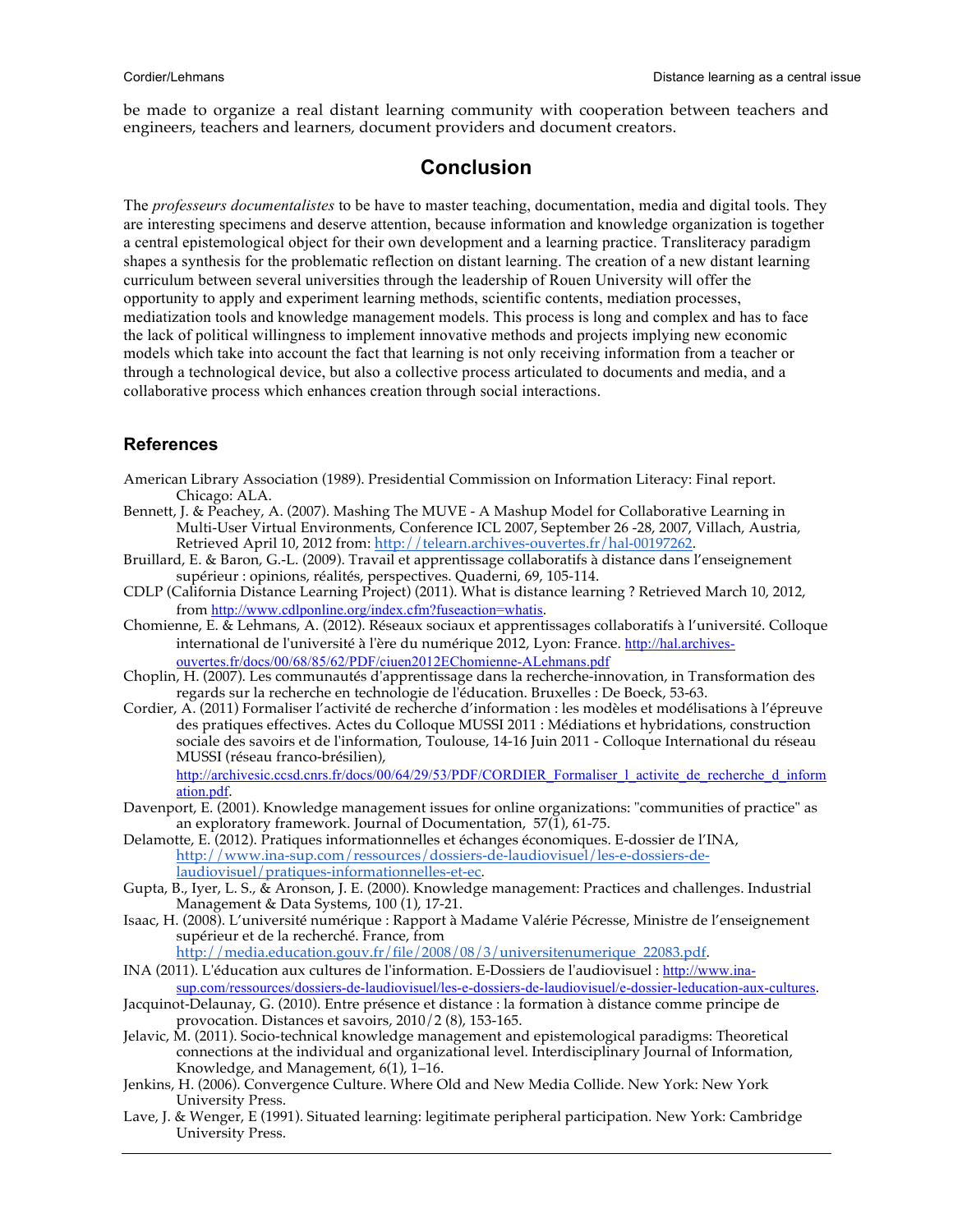be made to organize a real distant learning community with cooperation between teachers and engineers, teachers and learners, document providers and document creators.

## **Conclusion**

The *professeurs documentalistes* to be have to master teaching, documentation, media and digital tools. They are interesting specimens and deserve attention, because information and knowledge organization is together a central epistemological object for their own development and a learning practice. Transliteracy paradigm shapes a synthesis for the problematic reflection on distant learning. The creation of a new distant learning curriculum between several universities through the leadership of Rouen University will offer the opportunity to apply and experiment learning methods, scientific contents, mediation processes, mediatization tools and knowledge management models. This process is long and complex and has to face the lack of political willingness to implement innovative methods and projects implying new economic models which take into account the fact that learning is not only receiving information from a teacher or through a technological device, but also a collective process articulated to documents and media, and a collaborative process which enhances creation through social interactions.

### **References**

- American Library Association (1989). Presidential Commission on Information Literacy: Final report. Chicago: ALA.
- Bennett, J. & Peachey, A. (2007). Mashing The MUVE A Mashup Model for Collaborative Learning in Multi-User Virtual Environments, Conference ICL 2007, September 26 -28, 2007, Villach, Austria, Retrieved April 10, 2012 from: http://telearn.archives-ouvertes.fr/hal-00197262.
- Bruillard, E. & Baron, G.-L. (2009). Travail et apprentissage collaboratifs à distance dans l'enseignement supérieur : opinions, réalités, perspectives. Quaderni, 69, 105-114.
- CDLP (California Distance Learning Project) (2011). What is distance learning ? Retrieved March 10, 2012, from http://www.cdlponline.org/index.cfm?fuseaction=whatis.
- Chomienne, E. & Lehmans, A. (2012). Réseaux sociaux et apprentissages collaboratifs à l'université. Colloque international de l'université à l'ère du numérique 2012, Lyon: France. http://hal.archivesouvertes.fr/docs/00/68/85/62/PDF/ciuen2012EChomienne-ALehmans.pdf
- Choplin, H. (2007). Les communautés d'apprentissage dans la recherche-innovation, in Transformation des regards sur la recherche en technologie de l'éducation. Bruxelles : De Boeck, 53-63.
- Cordier, A. (2011) Formaliser l'activité de recherche d'information : les modèles et modélisations à l'épreuve des pratiques effectives. Actes du Colloque MUSSI 2011 : Médiations et hybridations, construction sociale des savoirs et de l'information, Toulouse, 14-16 Juin 2011 - Colloque International du réseau MUSSI (réseau franco-brésilien),

http://archivesic.ccsd.cnrs.fr/docs/00/64/29/53/PDF/CORDIER\_Formaliser\_l\_activite\_de\_recherche\_d\_inform ation.pdf.

- Davenport, E. (2001). Knowledge management issues for online organizations: "communities of practice" as an exploratory framework. Journal of Documentation, 57(1), 61-75.
- Delamotte, E. (2012). Pratiques informationnelles et échanges économiques. E-dossier de l'INA, http://www.ina-sup.com/ressources/dossiers-de-laudiovisuel/les-e-dossiers-delaudiovisuel/pratiques-informationnelles-et-ec.
- Gupta, B., Iyer, L. S., & Aronson, J. E. (2000). Knowledge management: Practices and challenges. Industrial Management & Data Systems, 100 (1), 17-21.
- Isaac, H. (2008). L'université numérique : Rapport à Madame Valérie Pécresse, Ministre de l'enseignement supérieur et de la recherché. France, from

http://media.education.gouv.fr/file/2008/08/3/universitenumerique\_22083.pdf.

- INA (2011). L'éducation aux cultures de l'information. E-Dossiers de l'audiovisuel : http://www.inasup.com/ressources/dossiers-de-laudiovisuel/les-e-dossiers-de-laudiovisuel/e-dossier-leducation-aux-cultures.
- Jacquinot-Delaunay, G. (2010). Entre présence et distance : la formation à distance comme principe de provocation. Distances et savoirs, 2010/2 (8), 153-165.
- Jelavic, M. (2011). Socio-technical knowledge management and epistemological paradigms: Theoretical connections at the individual and organizational level. Interdisciplinary Journal of Information, Knowledge, and Management,  $6(1)$ ,  $1-16$ .
- Jenkins, H. (2006). Convergence Culture. Where Old and New Media Collide. New York: New York University Press.
- Lave, J. & Wenger, E (1991). Situated learning: legitimate peripheral participation. New York: Cambridge University Press.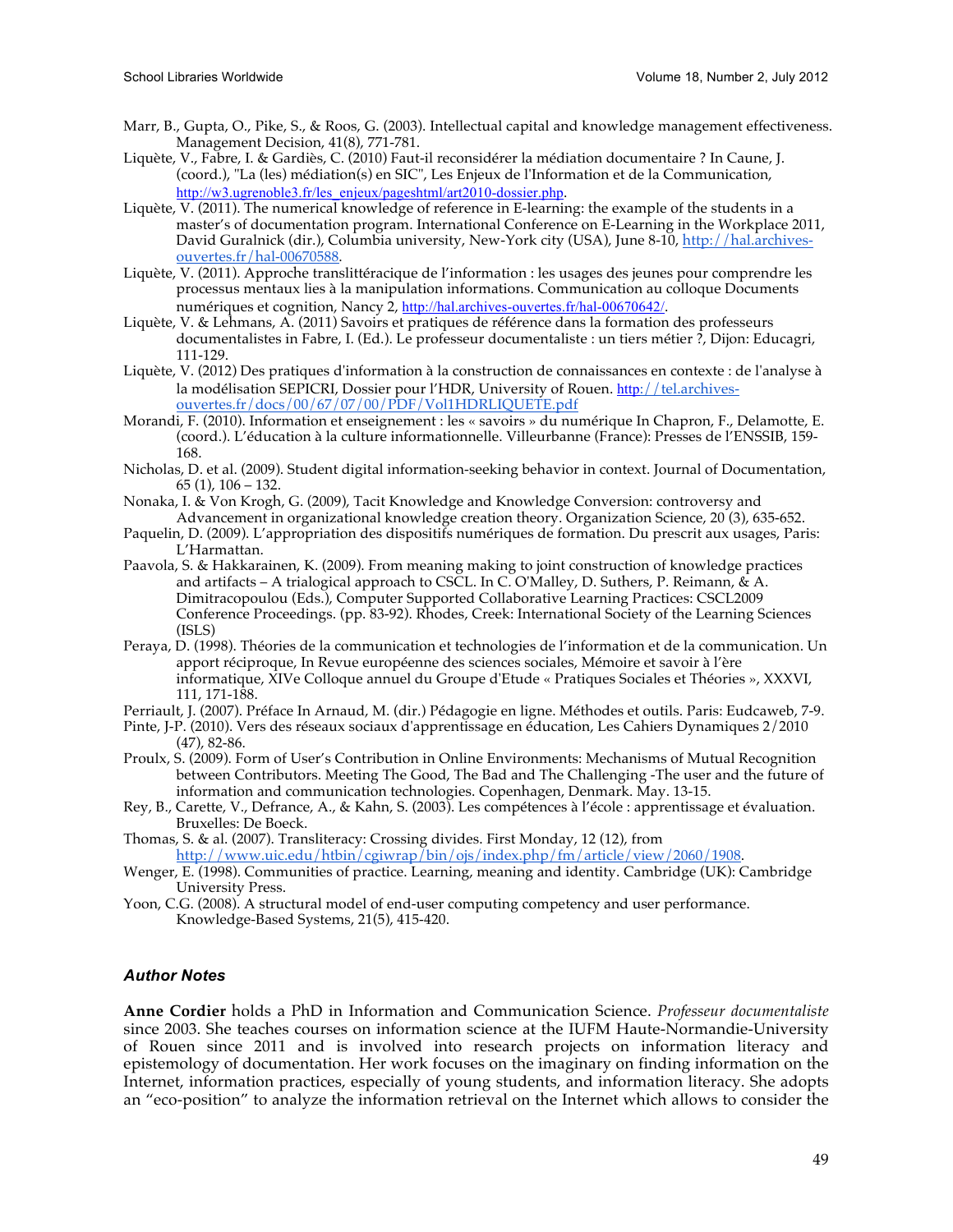- Marr, B., Gupta, O., Pike, S., & Roos, G. (2003). Intellectual capital and knowledge management effectiveness. Management Decision, 41(8), 771-781.
- Liquète, V., Fabre, I. & Gardiès, C. (2010) Faut-il reconsidérer la médiation documentaire ? In Caune, J. (coord.), "La (les) médiation(s) en SIC", Les Enjeux de l'Information et de la Communication, http://w3.ugrenoble3.fr/les\_enjeux/pageshtml/art2010-dossier.php.
- Liquète, V. (2011). The numerical knowledge of reference in E-learning: the example of the students in a master's of documentation program. International Conference on E-Learning in the Workplace 2011, David Guralnick (dir.), Columbia university, New-York city (USA), June 8-10, http://hal.archivesouvertes.fr/hal-00670588.
- Liquète, V. (2011). Approche translittéracique de l'information : les usages des jeunes pour comprendre les processus mentaux lies à la manipulation informations. Communication au colloque Documents numériques et cognition, Nancy 2, http://hal.archives-ouvertes.fr/hal-00670642/.
- Liquète, V. & Lehmans, A. (2011) Savoirs et pratiques de référence dans la formation des professeurs documentalistes in Fabre, I. (Ed.). Le professeur documentaliste : un tiers métier ?, Dijon: Educagri, 111-129.
- Liquète, V. (2012) Des pratiques d'information à la construction de connaissances en contexte : de l'analyse à la modélisation SEPICRI, Dossier pour l'HDR, University of Rouen. http://tel.archivesouvertes.fr/docs/00/67/07/00/PDF/Vol1HDRLIQUETE.pdf
- Morandi, F. (2010). Information et enseignement : les « savoirs » du numérique In Chapron, F., Delamotte, E. (coord.). L'éducation à la culture informationnelle. Villeurbanne (France): Presses de l'ENSSIB, 159- 168.
- Nicholas, D. et al. (2009). Student digital information-seeking behavior in context. Journal of Documentation, 65 (1), 106 – 132.
- Nonaka, I. & Von Krogh, G. (2009), Tacit Knowledge and Knowledge Conversion: controversy and Advancement in organizational knowledge creation theory. Organization Science, 20 (3), 635-652.
- Paquelin, D. (2009). L'appropriation des dispositifs numériques de formation. Du prescrit aux usages, Paris: L'Harmattan.
- Paavola, S. & Hakkarainen, K. (2009). From meaning making to joint construction of knowledge practices and artifacts – A trialogical approach to CSCL. In C. O'Malley, D. Suthers, P. Reimann, & A. Dimitracopoulou (Eds.), Computer Supported Collaborative Learning Practices: CSCL2009 Conference Proceedings. (pp. 83-92). Rhodes, Creek: International Society of the Learning Sciences (ISLS)
- Peraya, D. (1998). Théories de la communication et technologies de l'information et de la communication. Un apport réciproque, In Revue européenne des sciences sociales, Mémoire et savoir à l'ère informatique, XIVe Colloque annuel du Groupe d'Etude « Pratiques Sociales et Théories », XXXVI, 111, 171-188.
- Perriault, J. (2007). Préface In Arnaud, M. (dir.) Pédagogie en ligne. Méthodes et outils. Paris: Eudcaweb, 7-9.
- Pinte, J-P. (2010). Vers des réseaux sociaux d'apprentissage en éducation, Les Cahiers Dynamiques 2/2010 (47), 82-86.
- Proulx, S. (2009). Form of User's Contribution in Online Environments: Mechanisms of Mutual Recognition between Contributors. Meeting The Good, The Bad and The Challenging -The user and the future of information and communication technologies. Copenhagen, Denmark. May. 13-15.
- Rey, B., Carette, V., Defrance, A., & Kahn, S. (2003). Les compétences à l'école : apprentissage et évaluation. Bruxelles: De Boeck.
- Thomas, S. & al. (2007). Transliteracy: Crossing divides. First Monday, 12 (12), from http://www.uic.edu/htbin/cgiwrap/bin/ojs/index.php/fm/article/view/2060/1908.
- Wenger, E. (1998). Communities of practice. Learning, meaning and identity. Cambridge (UK): Cambridge University Press.
- Yoon, C.G. (2008). A structural model of end-user computing competency and user performance. Knowledge-Based Systems, 21(5), 415-420.

#### *Author Notes*

**Anne Cordier** holds a PhD in Information and Communication Science. *Professeur documentaliste* since 2003. She teaches courses on information science at the IUFM Haute-Normandie-University of Rouen since 2011 and is involved into research projects on information literacy and epistemology of documentation. Her work focuses on the imaginary on finding information on the Internet, information practices, especially of young students, and information literacy. She adopts an "eco-position" to analyze the information retrieval on the Internet which allows to consider the